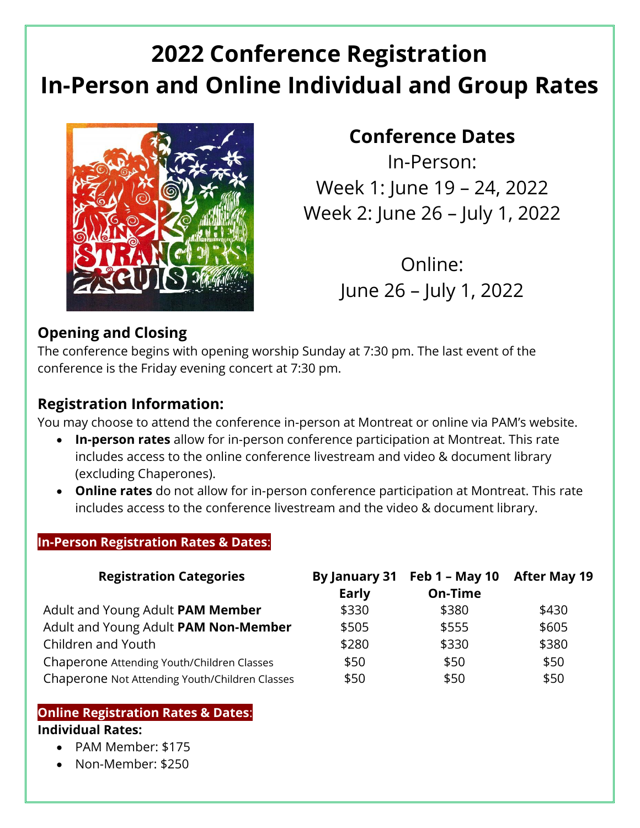# **2022 Conference Registration In-Person and Online Individual and Group Rates**



# **Conference Dates**

In-Person: Week 1: June 19 – 24, 2022 Week 2: June 26 – July 1, 2022

> Online: June 26 – July 1, 2022

### **Opening and Closing**

The conference begins with opening worship Sunday at 7:30 pm. The last event of the conference is the Friday evening concert at 7:30 pm.

### **Registration Information:**

You may choose to attend the conference in-person at Montreat or online via PAM's website.

- **In-person rates** allow for in-person conference participation at Montreat. This rate includes access to the online conference livestream and video & document library (excluding Chaperones).
- **Online rates** do not allow for in-person conference participation at Montreat. This rate includes access to the conference livestream and the video & document library.

#### **In-Person Registration Rates & Dates**:

| <b>Registration Categories</b>                 | <b>Early</b> | By January 31 Feb 1 - May 10<br>On-Time | <b>After May 19</b> |
|------------------------------------------------|--------------|-----------------------------------------|---------------------|
| Adult and Young Adult PAM Member               | \$330        | \$380                                   | \$430               |
| Adult and Young Adult PAM Non-Member           | \$505        | \$555                                   | \$605               |
| Children and Youth                             | \$280        | \$330                                   | \$380               |
| Chaperone Attending Youth/Children Classes     | \$50         | \$50                                    | \$50                |
| Chaperone Not Attending Youth/Children Classes | \$50         | \$50                                    | \$50                |

#### **Online Registration Rates & Dates**: **Individual Rates:**

- PAM Member: \$175
- Non-Member: \$250